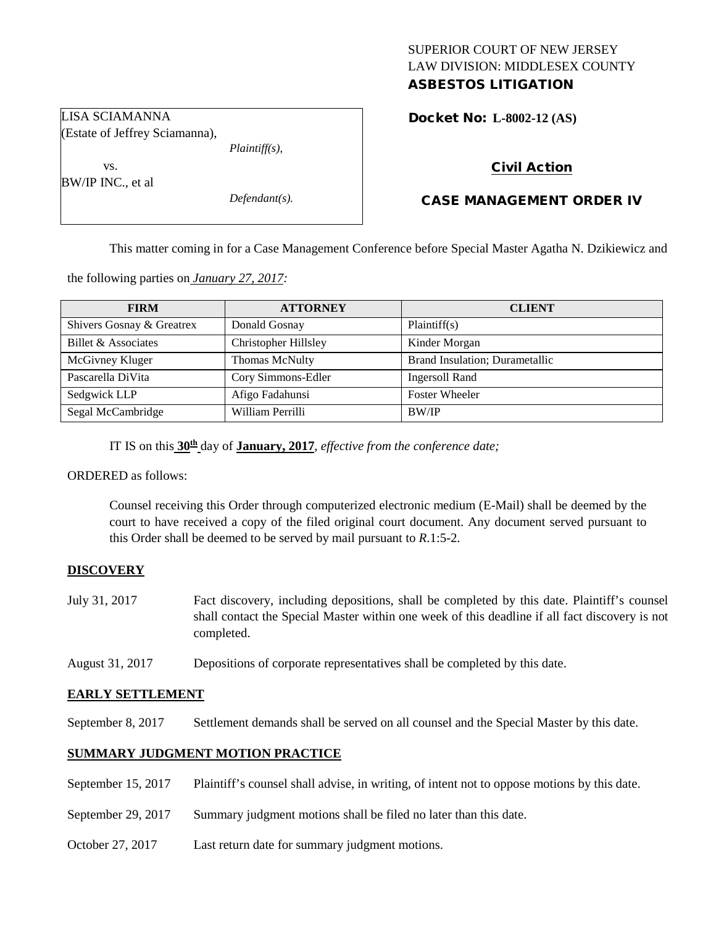# SUPERIOR COURT OF NEW JERSEY LAW DIVISION: MIDDLESEX COUNTY ASBESTOS LITIGATION

Docket No: **L-8002-12 (AS)** 

LISA SCIAMANNA (Estate of Jeffrey Sciamanna),

vs.

BW/IP INC., et al

*Defendant(s).*

*Plaintiff(s),*

# Civil Action

# CASE MANAGEMENT ORDER IV

This matter coming in for a Case Management Conference before Special Master Agatha N. Dzikiewicz and

the following parties on *January 27, 2017:*

| <b>FIRM</b>               | <b>ATTORNEY</b>             | <b>CLIENT</b>                  |
|---------------------------|-----------------------------|--------------------------------|
| Shivers Gosnay & Greatrex | Donald Gosnay               | Plaintiff(s)                   |
| Billet & Associates       | <b>Christopher Hillsley</b> | Kinder Morgan                  |
| McGivney Kluger           | Thomas McNulty              | Brand Insulation; Durametallic |
| Pascarella DiVita         | Cory Simmons-Edler          | <b>Ingersoll Rand</b>          |
| Sedgwick LLP              | Afigo Fadahunsi             | <b>Foster Wheeler</b>          |
| Segal McCambridge         | William Perrilli            | BW/IP                          |

IT IS on this **30th** day of **January, 2017**, *effective from the conference date;*

ORDERED as follows:

Counsel receiving this Order through computerized electronic medium (E-Mail) shall be deemed by the court to have received a copy of the filed original court document. Any document served pursuant to this Order shall be deemed to be served by mail pursuant to *R*.1:5-2.

# **DISCOVERY**

- July 31, 2017 Fact discovery, including depositions, shall be completed by this date. Plaintiff's counsel shall contact the Special Master within one week of this deadline if all fact discovery is not completed.
- August 31, 2017 Depositions of corporate representatives shall be completed by this date.

# **EARLY SETTLEMENT**

September 8, 2017 Settlement demands shall be served on all counsel and the Special Master by this date.

# **SUMMARY JUDGMENT MOTION PRACTICE**

- September 15, 2017 Plaintiff's counsel shall advise, in writing, of intent not to oppose motions by this date.
- September 29, 2017 Summary judgment motions shall be filed no later than this date.
- October 27, 2017 Last return date for summary judgment motions.